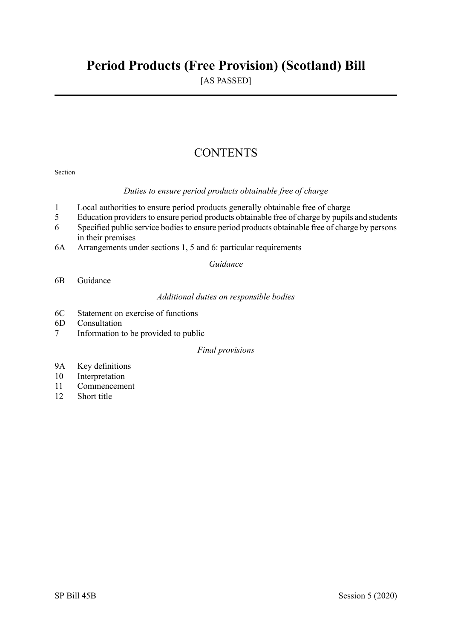## **Period Products (Free Provision) (Scotland) Bill**

[AS PASSED]

## **CONTENTS**

### Section

### *Duties to ensure period products obtainable free of charge*

- 1 Local authorities to ensure period products generally obtainable free of charge
- 5 Education providers to ensure period products obtainable free of charge by pupils and students
- 6 Specified public service bodiesto ensure period products obtainable free of charge by persons in their premises
- 6A Arrangements under sections 1, 5 and 6: particular requirements

*Guidance* 

6B Guidance

*Additional duties on responsible bodies* 

- 6C Statement on exercise of functions
- 6D Consultation
- 7 Information to be provided to public

### *Final provisions*

- 9A Key definitions
- 10 Interpretation
- 11 Commencement
- 12 Short title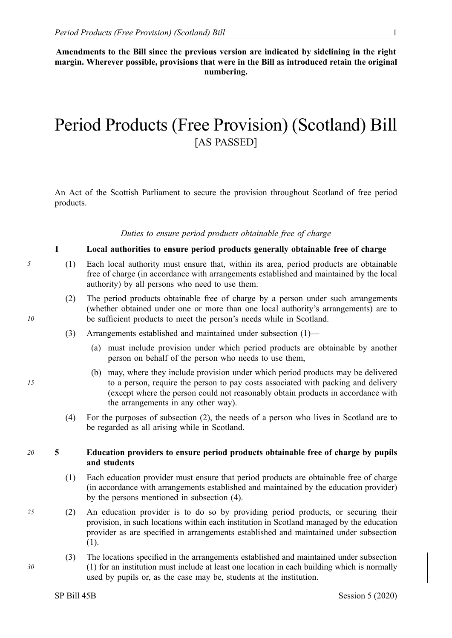**Amendments to the Bill since the previous version are indicated by sidelining in the right margin. Wherever possible, provisions that were in the Bill as introduced retain the original numbering.** 

# Period Products (Free Provision) (Scotland) Bill [AS PASSED]

An Act of the Scottish Parliament to secure the provision throughout Scotland of free period products.

### *Duties to ensure period products obtainable free of charge*

### **1 Local authorities to ensure period products generally obtainable free of charge**

- *5* (1) Each local authority must ensure that, within its area, period products are obtainable free of charge (in accordance with arrangements established and maintained by the local authority) by all persons who need to use them.
	- (2) The period products obtainable free of charge by a person under such arrangements (whether obtained under one or more than one local authority's arrangements) are to be sufficient products to meet the person's needs while in Scotland.
	- (3) Arrangements established and maintained under subsection (1)—
		- (a) must include provision under which period products are obtainable by another person on behalf of the person who needs to use them,
		- (b) may, where they include provision under which period products may be delivered to a person, require the person to pay costs associated with packing and delivery (except where the person could not reasonably obtain products in accordance with the arrangements in any other way).
	- (4) For the purposes of subsection (2), the needs of a person who lives in Scotland are to be regarded as all arising while in Scotland.

### *20* **5 Education providers to ensure period products obtainable free of charge by pupils and students**

- (1) Each education provider must ensure that period products are obtainable free of charge (in accordance with arrangements established and maintained by the education provider) by the persons mentioned in subsection (4).
- *25* (2) An education provider is to do so by providing period products, or securing their provision, in such locations within each institution in Scotland managed by the education provider as are specified in arrangements established and maintained under subsection (1).
	- (3) The locations specified in the arrangements established and maintained under subsection (1) for an institution must include at least one location in each building which is normally used by pupils or, as the case may be, students at the institution.

*15* 

*30*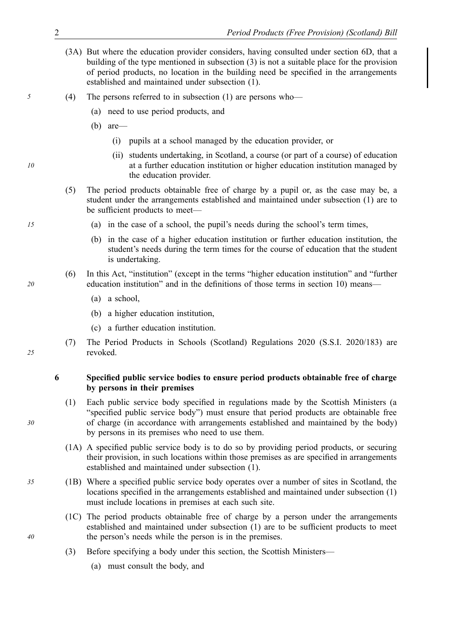- (3A) But where the education provider considers, having consulted under section 6D, that a building of the type mentioned in subsection (3) is not a suitable place for the provision of period products, no location in the building need be specified in the arrangements established and maintained under subsection (1).
- *5* (4) The persons referred to in subsection (1) are persons who—
	- (a) need to use period products, and
	- (b) are—
		- (i) pupils at a school managed by the education provider, or
		- (ii) students undertaking, in Scotland, a course (or part of a course) of education at a further education institution or higher education institution managed by the education provider.
	- (5) The period products obtainable free of charge by a pupil or, as the case may be, a student under the arrangements established and maintained under subsection (1) are to be sufficient products to meet—
- *15* (a) in the case of a school, the pupil's needs during the school's term times,
	- (b) in the case of a higher education institution or further education institution, the student's needs during the term times for the course of education that the student is undertaking.
	- (6) In this Act, "institution" (except in the terms "higher education institution" and "further education institution" and in the definitions of those terms in section 10) means—
		- (a) a school,
		- (b) a higher education institution,
		- (c) a further education institution.
	- (7) The Period Products in Schools (Scotland) Regulations 2020 (S.S.I. 2020/183) are revoked.

### **6 Specified public service bodies to ensure period products obtainable free of charge by persons in their premises**

- (1) Each public service body specified in regulations made by the Scottish Ministers (a "specified public service body") must ensure that period products are obtainable free of charge (in accordance with arrangements established and maintained by the body) by persons in its premises who need to use them.
- (1A) A specified public service body is to do so by providing period products, or securing their provision, in such locations within those premises as are specified in arrangements established and maintained under subsection (1).
- *35* (1B) Where a specified public service body operates over a number of sites in Scotland, the locations specified in the arrangements established and maintained under subsection (1) must include locations in premises at each such site.
	- (1C) The period products obtainable free of charge by a person under the arrangements established and maintained under subsection (1) are to be sufficient products to meet the person's needs while the person is in the premises.
	- (3) Before specifying a body under this section, the Scottish Ministers—
		- (a) must consult the body, and

*20* 

*10* 

*25* 

*30*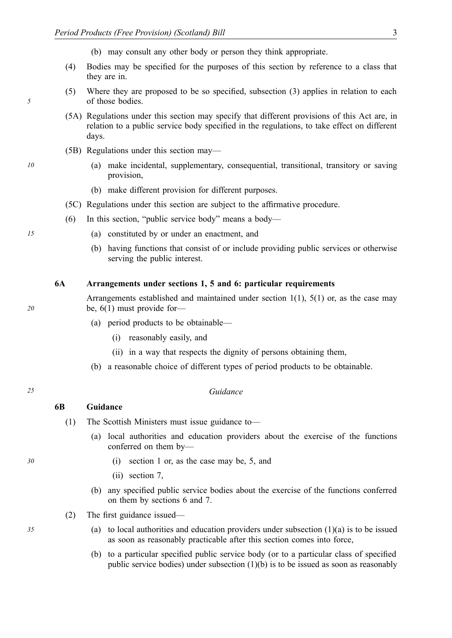(b) may consult any other body or person they think appropriate.

- (4) Bodies may be specified for the purposes of this section by reference to a class that they are in.
- (5) Where they are proposed to be so specified, subsection (3) applies in relation to each of those bodies.
- (5A) Regulations under this section may specify that different provisions of this Act are, in relation to a public service body specified in the regulations, to take effect on different days.
- (5B) Regulations under this section may—
- *10* (a) make incidental, supplementary, consequential, transitional, transitory or saving provision,
	- (b) make different provision for different purposes.
	- (5C) Regulations under this section are subject to the affirmative procedure.
	- (6) In this section, "public service body" means a body—
- *15* (a) constituted by or under an enactment, and
	- (b) having functions that consist of or include providing public services or otherwise serving the public interest.

### **6A Arrangements under sections 1, 5 and 6: particular requirements**

Arrangements established and maintained under section 1(1), 5(1) or, as the case may be, 6(1) must provide for—

- (a) period products to be obtainable—
	- (i) reasonably easily, and
	- (ii) in a way that respects the dignity of persons obtaining them,
- (b) a reasonable choice of different types of period products to be obtainable.

### *25 Guidance*

### **6B Guidance**

- (1) The Scottish Ministers must issue guidance to—
	- (a) local authorities and education providers about the exercise of the functions conferred on them by—
- *30* (i) section 1 or, as the case may be, 5, and
	- (ii) section 7,
	- (b) any specified public service bodies about the exercise of the functions conferred on them by sections 6 and 7.
	- (2) The first guidance issued—
- *35* (a) to local authorities and education providers under subsection (1)(a) is to be issued as soon as reasonably practicable after this section comes into force,
	- (b) to a particular specified public service body (or to a particular class of specified public service bodies) under subsection  $(1)(b)$  is to be issued as soon as reasonably

*5*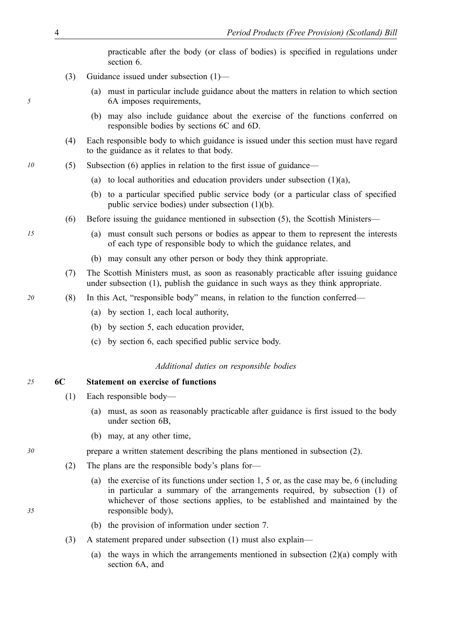practicable after the body (or class of bodies) is specified in regulations under section 6.

- (3) Guidance issued under subsection (1)—
	- (a) must in particular include guidance about the matters in relation to which section 6A imposes requirements,
	- (b) may also include guidance about the exercise of the functions conferred on responsible bodies by sections 6C and 6D.
- (4) Each responsible body to which guidance is issued under this section must have regard to the guidance as it relates to that body.
- *10* (5) Subsection (6) applies in relation to the first issue of guidance—
	- (a) to local authorities and education providers under subsection  $(1)(a)$ ,
	- (b) to a particular specified public service body (or a particular class of specified public service bodies) under subsection (1)(b).
	- (6) Before issuing the guidance mentioned in subsection (5), the Scottish Ministers—
- *15* (a) must consult such persons or bodies as appear to them to represent the interests of each type of responsible body to which the guidance relates, and
	- (b) may consult any other person or body they think appropriate.
	- (7) The Scottish Ministers must, as soon as reasonably practicable after issuing guidance under subsection (1), publish the guidance in such ways as they think appropriate.
- *20* (8) In this Act, "responsible body" means, in relation to the function conferred—
	- (a) by section 1, each local authority,
	- (b) by section 5, each education provider,
	- (c) by section 6, each specified public service body.

### *Additional duties on responsible bodies*

### *25* **6C Statement on exercise of functions**

- (1) Each responsible body—
	- (a) must, as soon as reasonably practicable after guidance is first issued to the body under section 6B,
	- (b) may, at any other time,

*30* prepare a written statement describing the plans mentioned in subsection (2).

- (2) The plans are the responsible body's plans for—
	- (a) the exercise of its functions under section 1, 5 or, as the case may be, 6 (including in particular a summary of the arrangements required, by subsection (1) of whichever of those sections applies, to be established and maintained by the responsible body),
	- (b) the provision of information under section 7.
- (3) A statement prepared under subsection (1) must also explain—
	- (a) the ways in which the arrangements mentioned in subsection  $(2)(a)$  comply with section 6A, and

*5*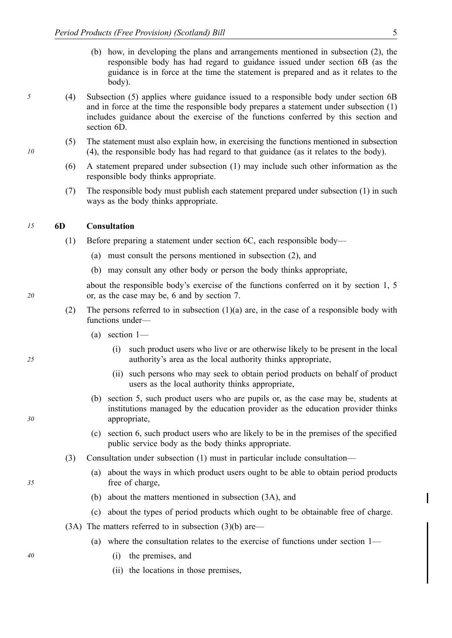- (b) how, in developing the plans and arrangements mentioned in subsection (2), the responsible body has had regard to guidance issued under section 6B (as the guidance is in force at the time the statement is prepared and as it relates to the body).
- *5* (4) Subsection (5) applies where guidance issued to a responsible body under section 6B and in force at the time the responsible body prepares a statement under subsection (1) includes guidance about the exercise of the functions conferred by this section and section 6D.
	- (5) The statement must also explain how, in exercising the functions mentioned in subsection (4), the responsible body has had regard to that guidance (as it relates to the body).
	- (6) A statement prepared under subsection (1) may include such other information as the responsible body thinks appropriate.
	- (7) The responsible body must publish each statement prepared under subsection (1) in such ways as the body thinks appropriate.

### *15* **6D Consultation**

- (1) Before preparing a statement under section 6C, each responsible body—
	- (a) must consult the persons mentioned in subsection (2), and
	- (b) may consult any other body or person the body thinks appropriate,

about the responsible body's exercise of the functions conferred on it by section 1, 5 or, as the case may be, 6 and by section 7.

- (2) The persons referred to in subsection (1)(a) are, in the case of a responsible body with functions under—
	- (a) section 1—
		- (i) such product users who live or are otherwise likely to be present in the local authority's area as the local authority thinks appropriate,
		- (ii) such persons who may seek to obtain period products on behalf of product users as the local authority thinks appropriate,
	- (b) section 5, such product users who are pupils or, as the case may be, students at institutions managed by the education provider as the education provider thinks appropriate,
	- (c) section 6, such product users who are likely to be in the premises of the specified public service body as the body thinks appropriate.
- (3) Consultation under subsection (1) must in particular include consultation—
	- (a) about the ways in which product users ought to be able to obtain period products free of charge,
	- (b) about the matters mentioned in subsection (3A), and
	- (c) about the types of period products which ought to be obtainable free of charge.
- (3A) The matters referred to in subsection (3)(b) are—
	- (a) where the consultation relates to the exercise of functions under section 1—
- *40* (i) the premises, and
	- (ii) the locations in those premises,

*10* 

*20* 

*30* 

*25*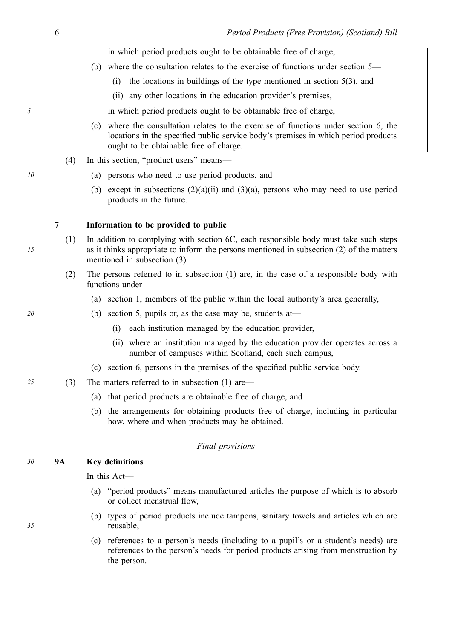in which period products ought to be obtainable free of charge,

- (b) where the consultation relates to the exercise of functions under section 5—
	- (i) the locations in buildings of the type mentioned in section 5(3), and
	- (ii) any other locations in the education provider's premises,

*5* in which period products ought to be obtainable free of charge,

- (c) where the consultation relates to the exercise of functions under section 6, the locations in the specified public service body's premises in which period products ought to be obtainable free of charge.
- (4) In this section, "product users" means—
- *10* (a) persons who need to use period products, and
	- (b) except in subsections  $(2)(a)(ii)$  and  $(3)(a)$ , persons who may need to use period products in the future.

### **7 Information to be provided to public**

- (1) In addition to complying with section 6C, each responsible body must take such steps as it thinks appropriate to inform the persons mentioned in subsection (2) of the matters mentioned in subsection (3).
- (2) The persons referred to in subsection (1) are, in the case of a responsible body with functions under—
	- (a) section 1, members of the public within the local authority's area generally,
- *20* (b) section 5, pupils or, as the case may be, students at—
	- (i) each institution managed by the education provider,
	- (ii) where an institution managed by the education provider operates across a number of campuses within Scotland, each such campus,
	- (c) section 6, persons in the premises of the specified public service body.
- *25* (3) The matters referred to in subsection (1) are—
	- (a) that period products are obtainable free of charge, and
	- (b) the arrangements for obtaining products free of charge, including in particular how, where and when products may be obtained.

### *Final provisions*

### *30* **9A Key definitions**

In this Act—

- (a) "period products" means manufactured articles the purpose of which is to absorb or collect menstrual flow,
- (b) types of period products include tampons, sanitary towels and articles which are reusable,
- (c) references to a person's needs (including to a pupil's or a student's needs) are references to the person's needs for period products arising from menstruation by the person.

*15*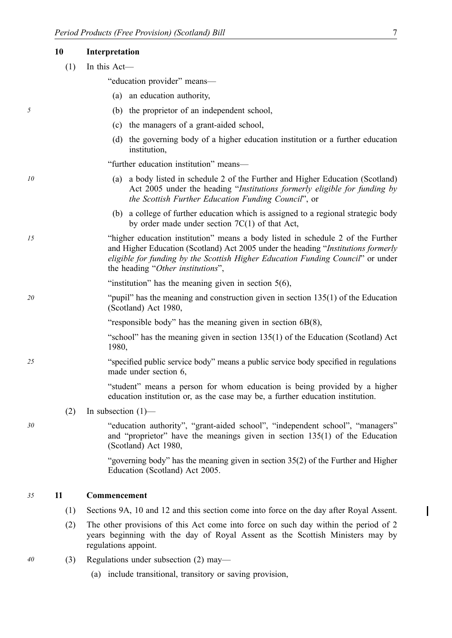|    | 10  | Interpretation                                                                                                                                                                                                                                                                               |
|----|-----|----------------------------------------------------------------------------------------------------------------------------------------------------------------------------------------------------------------------------------------------------------------------------------------------|
|    | (1) | In this Act-                                                                                                                                                                                                                                                                                 |
|    |     | "education provider" means—                                                                                                                                                                                                                                                                  |
|    |     | an education authority,<br>(a)                                                                                                                                                                                                                                                               |
| 5  |     | (b) the proprietor of an independent school,                                                                                                                                                                                                                                                 |
|    |     | the managers of a grant-aided school,<br>(c)                                                                                                                                                                                                                                                 |
|    |     | (d) the governing body of a higher education institution or a further education<br>institution,                                                                                                                                                                                              |
|    |     | "further education institution" means—                                                                                                                                                                                                                                                       |
| 10 |     | a body listed in schedule 2 of the Further and Higher Education (Scotland)<br>(a)<br>Act 2005 under the heading "Institutions formerly eligible for funding by<br>the Scottish Further Education Funding Council", or                                                                        |
|    |     | (b) a college of further education which is assigned to a regional strategic body<br>by order made under section $7C(1)$ of that Act,                                                                                                                                                        |
| 15 |     | "higher education institution" means a body listed in schedule 2 of the Further<br>and Higher Education (Scotland) Act 2005 under the heading "Institutions formerly<br>eligible for funding by the Scottish Higher Education Funding Council" or under<br>the heading "Other institutions", |
|    |     | "institution" has the meaning given in section $5(6)$ ,                                                                                                                                                                                                                                      |
| 20 |     | "pupil" has the meaning and construction given in section $135(1)$ of the Education<br>(Scotland) Act 1980,                                                                                                                                                                                  |
|    |     | "responsible body" has the meaning given in section $6B(8)$ ,                                                                                                                                                                                                                                |
|    |     | "school" has the meaning given in section 135(1) of the Education (Scotland) Act<br>1980,                                                                                                                                                                                                    |
| 25 |     | "specified public service body" means a public service body specified in regulations<br>made under section 6,                                                                                                                                                                                |
|    |     | "student" means a person for whom education is being provided by a higher<br>education institution or, as the case may be, a further education institution.                                                                                                                                  |
|    | (2) | In subsection $(1)$ —                                                                                                                                                                                                                                                                        |
| 30 |     | "education authority", "grant-aided school", "independent school", "managers"<br>and "proprietor" have the meanings given in section $135(1)$ of the Education<br>(Scotland) Act 1980,                                                                                                       |
|    |     | "governing body" has the meaning given in section 35(2) of the Further and Higher<br>Education (Scotland) Act 2005.                                                                                                                                                                          |
| 35 | 11  | Commencement                                                                                                                                                                                                                                                                                 |
|    | (1) | Sections 9A, 10 and 12 and this section come into force on the day after Royal Assent.                                                                                                                                                                                                       |
|    | (2) | The other provisions of this Act come into force on such day within the period of 2<br>years beginning with the day of Royal Assent as the Scottish Ministers may by<br>regulations appoint.                                                                                                 |
| 40 | (3) | Regulations under subsection $(2)$ may—                                                                                                                                                                                                                                                      |
|    |     | (a) include transitional, transitory or saving provision,                                                                                                                                                                                                                                    |
|    |     |                                                                                                                                                                                                                                                                                              |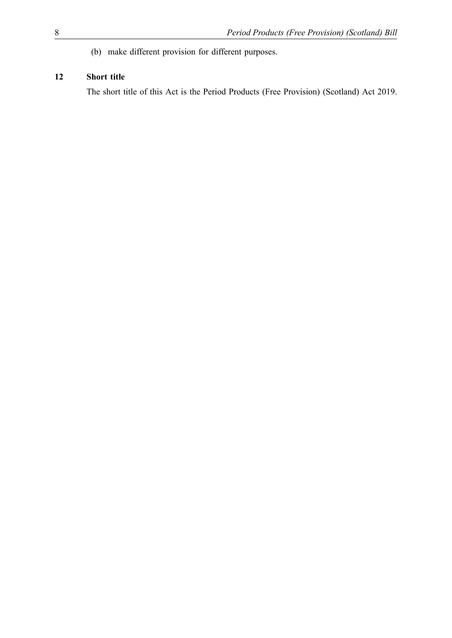(b) make different provision for different purposes.

### **12 Short title**

The short title of this Act is the Period Products (Free Provision) (Scotland) Act 2019.